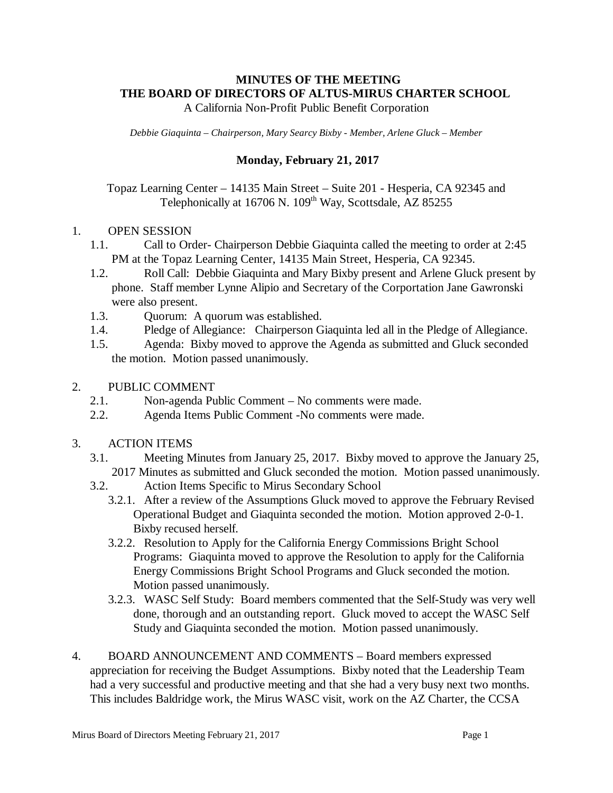## **MINUTES OF THE MEETING THE BOARD OF DIRECTORS OF ALTUS-MIRUS CHARTER SCHOOL** A California Non-Profit Public Benefit Corporation

*Debbie Giaquinta – Chairperson, Mary Searcy Bixby - Member, Arlene Gluck – Member* 

## **Monday, February 21, 2017**

Topaz Learning Center – 14135 Main Street – Suite 201 - Hesperia, CA 92345 and Telephonically at 16706 N. 109<sup>th</sup> Way, Scottsdale, AZ 85255

## 1. OPEN SESSION

- 1.1. Call to Order- Chairperson Debbie Giaquinta called the meeting to order at 2:45 PM at the Topaz Learning Center, 14135 Main Street, Hesperia, CA 92345.
- 1.2. Roll Call: Debbie Giaquinta and Mary Bixby present and Arlene Gluck present by phone. Staff member Lynne Alipio and Secretary of the Corportation Jane Gawronski were also present.
- 1.3. Quorum: A quorum was established.
- 1.4. Pledge of Allegiance: Chairperson Giaquinta led all in the Pledge of Allegiance.
- 1.5. Agenda: Bixby moved to approve the Agenda as submitted and Gluck seconded the motion. Motion passed unanimously.
- 2. PUBLIC COMMENT
	- 2.1. Non-agenda Public Comment No comments were made.
	- 2.2. Agenda Items Public Comment -No comments were made.
- 3. ACTION ITEMS
	- 3.1. Meeting Minutes from January 25, 2017. Bixby moved to approve the January 25, 2017 Minutes as submitted and Gluck seconded the motion. Motion passed unanimously.
	- 3.2. Action Items Specific to Mirus Secondary School
		- 3.2.1. After a review of the Assumptions Gluck moved to approve the February Revised Operational Budget and Giaquinta seconded the motion. Motion approved 2-0-1. Bixby recused herself.
		- 3.2.2. Resolution to Apply for the California Energy Commissions Bright School Programs: Giaquinta moved to approve the Resolution to apply for the California Energy Commissions Bright School Programs and Gluck seconded the motion. Motion passed unanimously.
		- 3.2.3. WASC Self Study: Board members commented that the Self-Study was very well done, thorough and an outstanding report. Gluck moved to accept the WASC Self Study and Giaquinta seconded the motion. Motion passed unanimously.
- 4. BOARD ANNOUNCEMENT AND COMMENTS Board members expressed appreciation for receiving the Budget Assumptions. Bixby noted that the Leadership Team had a very successful and productive meeting and that she had a very busy next two months. This includes Baldridge work, the Mirus WASC visit, work on the AZ Charter, the CCSA